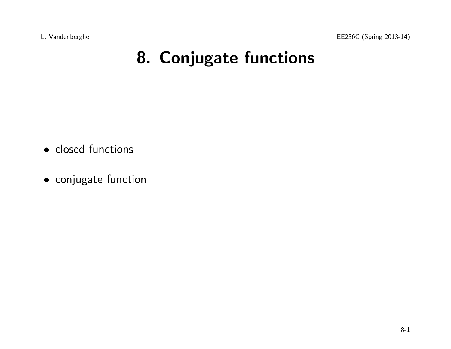L. Vandenberghe EE236C (Spring 2013-14)

# 8. Conjugate functions

- closed functions
- conjugate function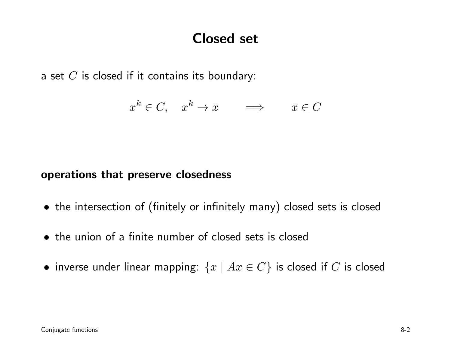### Closed set

a set  $C$  is closed if it contains its boundary:

$$
x^k \in C, \quad x^k \to \bar{x} \qquad \Longrightarrow \qquad \bar{x} \in C
$$

#### operations that preserve closedness

- the intersection of (finitely or infinitely many) closed sets is closed
- the union of <sup>a</sup> finite number of closed sets is closed
- $\bullet\,$  inverse under linear mapping:  $\{x\mid Ax\in C\}$  is closed if  $C$  is closed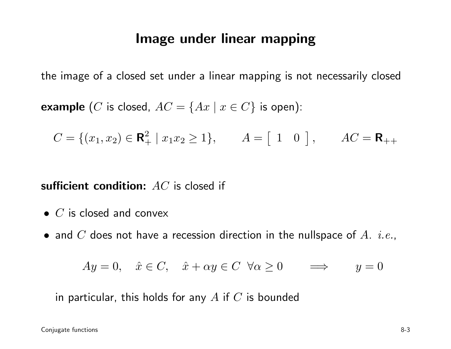### Image under linear mapping

the image of <sup>a</sup> closed set under <sup>a</sup> linear mapping is not necessarily closed

**example**  $(C$  is closed,  $AC = \{Ax \mid x \in C\}$  is open):

$$
C = \{(x_1, x_2) \in \mathbf{R}_+^2 \mid x_1 x_2 \ge 1\}, \qquad A = \begin{bmatrix} 1 & 0 \end{bmatrix}, \qquad AC = \mathbf{R}_{++}
$$

sufficient condition:  $AC$  is closed if

- $\bullet\,$   $C$  is closed and convex
- $\bullet$  and  $C$  does not have a recession direction in the nullspace of  $A$ .  $\it{i.e.},$

$$
Ay = 0, \quad \hat{x} \in C, \quad \hat{x} + \alpha y \in C \quad \forall \alpha \ge 0 \quad \implies \quad y = 0
$$

in particular, this holds for any  $A$  if  $C$  is bounded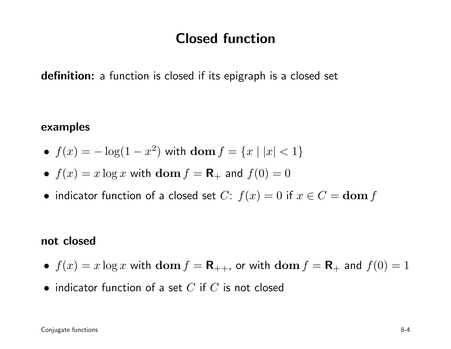### Closed function

**definition:** a function is closed if its epigraph is a closed set

#### examples

- $f(x) = -\log(1 x^2)$  with  $\textbf{dom } f = \{x \mid |x| < 1\}$
- $f(x) = x \log x$  with  $\text{dom } f = \mathbf{R}_+$  and  $f(0) = 0$
- indicator function of a closed set  $C: f(x) = 0$  if  $x \in C = \textbf{dom } f$

#### not closed

- $f(x) = x \log x$  with  $\textbf{dom } f = \mathbf{R}_{++}$ , or with  $\textbf{dom } f = \mathbf{R}_{+}$  and  $f(0) = 1$
- $\bullet\,$  indicator function of a set  $C$  if  $C$  is not closed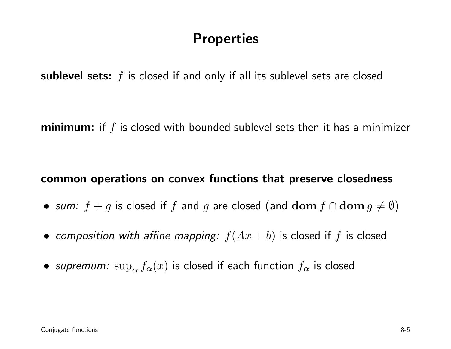### **Properties**

sublevel sets:  $f$  is closed if and only if all its sublevel sets are closed

 $$ 

#### common operations on convex functions that preserve closedness

- $\bullet\;$  sum:  $f+g$  is closed if  $f$  and  $g$  are closed (and  ${\bf dom}\,f\cap{\bf dom}\,g\neq\emptyset)$
- $\bullet\,$  *composition with affine mapping:*  $f(Ax + b)$  *is closed if*  $f$  *is closed*
- $\bullet$  *supremum:*  $\sup_{\alpha} f_{\alpha}(x)$  is closed if each function  $f_{\alpha}$  is closed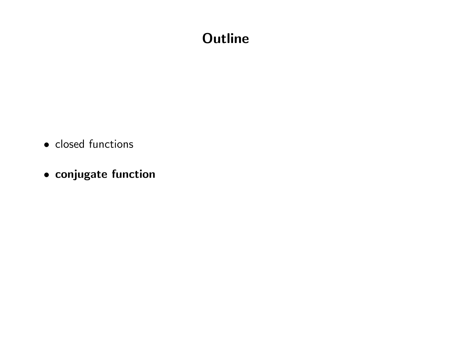## **Outline**

- closed functions
- conjugate function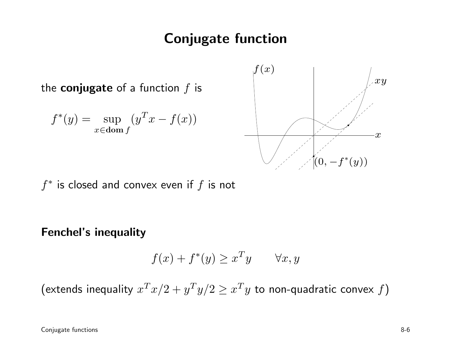### Conjugate function

the  $\bf{conjugate}$  of a function  $f$  is

$$
f^*(y) = \sup_{x \in \text{dom } f} (y^T x - f(x))
$$



 $f^{\ast}$  is closed and convex even if  $f$  is not

#### Fenchel's inequality

$$
f(x) + f^*(y) \ge x^T y \qquad \forall x, y
$$

(extends inequality  $x^T x/2 + y^T y/2 \geq x^T y$  to non-quadratic convex  $f$ )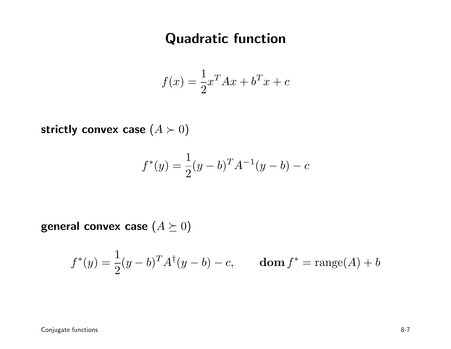### Quadratic function

$$
f(x) = \frac{1}{2}x^T A x + b^T x + c
$$

strictly convex case  $(A \succ 0)$ 

$$
f^*(y) = \frac{1}{2}(y - b)^T A^{-1}(y - b) - c
$$

general convex case  $(A \succeq 0)$ 

$$
f^*(y) = \frac{1}{2}(y - b)^T A^{\dagger}(y - b) - c,
$$
 dom  $f^* = \text{range}(A) + b$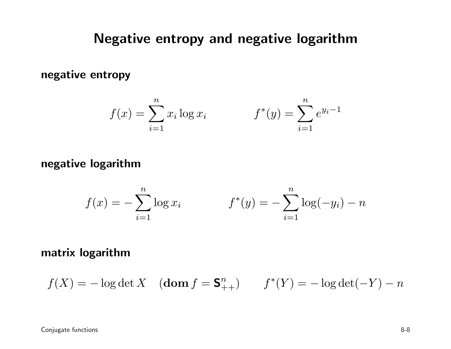### Negative entropy and negative logarithm

negative entropy

$$
f(x) = \sum_{i=1}^{n} x_i \log x_i \qquad f^*(y) = \sum_{i=1}^{n} e^{y_i - 1}
$$

#### negative logarithm

$$
f(x) = -\sum_{i=1}^{n} \log x_i \qquad f^*(y) = -\sum_{i=1}^{n} \log(-y_i) - n
$$

#### matrix logarithm

$$
f(X) = -\log \det X
$$
 (dom  $f = \mathbf{S}_{++}^n$ )  $f^*(Y) = -\log \det(-Y) - n$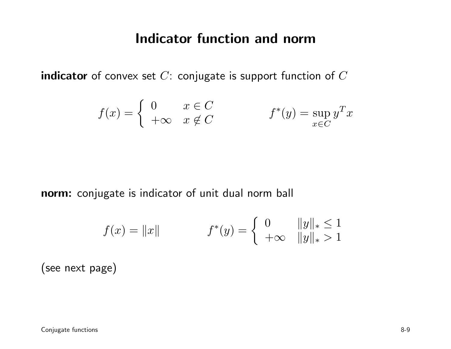#### Indicator function and norm

 $\boldsymbol{\mathsf{indicateor}}$  of convex set  $C$ : conjugate is support function of  $C$ 

$$
f(x) = \begin{cases} 0 & x \in C \\ +\infty & x \notin C \end{cases} \qquad f^*(y) = \sup_{x \in C} y^T x
$$

**norm:** conjugate is indicator of unit dual norm ball

$$
f(x) = \|x\| \qquad \qquad f^*(y) = \begin{cases} 0 & \|y\|_* \le 1 \\ +\infty & \|y\|_* > 1 \end{cases}
$$

(see next page)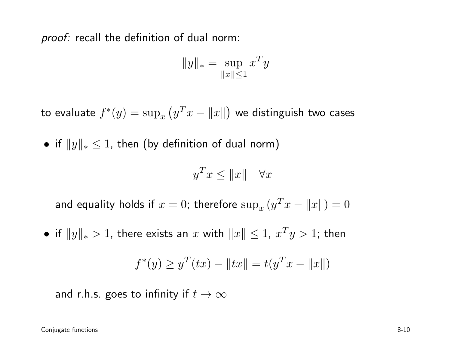*proof:* recall the definition of dual norm:

$$
||y||_* = \sup_{||x|| \le 1} x^T y
$$

to evaluate  $f^*(y) = \sup_x \left( y^T x - \|x\| \right)$  we distinguish two cases

 $\bullet\,$  if  $\|y\|_*\leq 1,$  then (by definition of dual norm)

$$
y^T x \le ||x|| \quad \forall x
$$

and equality holds if  $x = 0$ ; therefore  $\sup_x (y^T x - ||x||) = 0$ 

• if  $||y||_* > 1$ , there exists an  $x$  with  $||x|| \leq 1$ ,  $x^T y > 1$ ; then

$$
f^*(y) \ge y^T(tx) - ||tx|| = t(y^T x - ||x||)
$$

and r.h.s. goes to infinity if  $t \to \infty$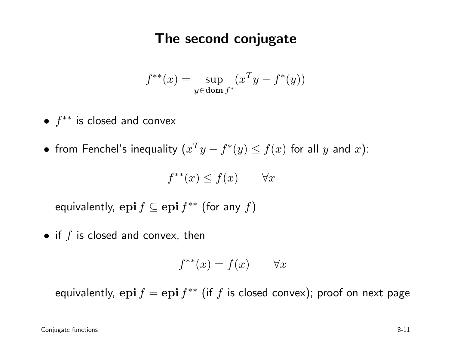### The second conjugate

$$
f^{**}(x) = \sup_{y \in \text{dom } f^*} (x^T y - f^*(y))
$$

- $\bullet$   $f^{**}$  is closed and convex
- •• from Fenchel's inequality  $(x^Ty - f^*(y) \le f(x)$  for all  $y$  and  $x)$ :

$$
f^{**}(x) \le f(x) \qquad \forall x
$$

equivalently,  $\operatorname{\bf epi} f \subseteq \operatorname{\bf epi} f^{**}$  (for any  $f)$ 

 $\bullet$  if  $f$  is closed and convex, then

$$
f^{**}(x) = f(x) \qquad \forall x
$$

equivalently,  $\mathbf{epi}\, f = \mathbf{epi}\, f^{**}$  (if  $f$  is closed convex); proof on next page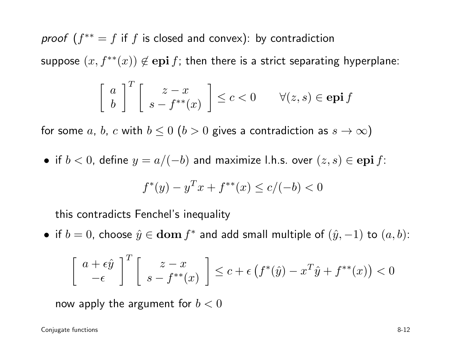*proof*  $(f^{**} = f$  if  $f$  is closed and convex): by contradiction suppose  $(x, f^{**}(x)) \not\in \mathbf{epi}\, f;$  then there is a strict separating hyperplane:  $\begin{bmatrix} a \\ b \end{bmatrix}^T \begin{bmatrix} z - x \\ s - f^{**}(x) \end{bmatrix} \leq c < 0 \qquad \forall (z, s) \in \mathbf{epi} f$ 

for some  $a,\,b,\,c$  with  $b\leq 0\,\,(b>0$  gives a contradiction as  $s\to\infty)$ 

 $\bullet\,\,$  if  $b < 0,$  define  $y = a/(-b)$  and maximize l.h.s. over  $(z,s) \in {\bf epi}\, f$ :

$$
f^*(y) - y^T x + f^{**}(x) \le c/(-b) < 0
$$

this contradicts Fenchel's inequality

• if  $b = 0$ , choose  $\hat{y} \in \textbf{dom} f^*$  and add small multiple of  $(\hat{y}, -1)$  to  $(a, b)$ :

$$
\begin{bmatrix} a+\epsilon \hat{y} \\ -\epsilon \end{bmatrix}^T \begin{bmatrix} z-x \\ s-f^{**}(x) \end{bmatrix} \le c+\epsilon \left(f^*(\hat{y}) - x^T \hat{y} + f^{**}(x)\right) < 0
$$

now apply the argument for  $b < 0$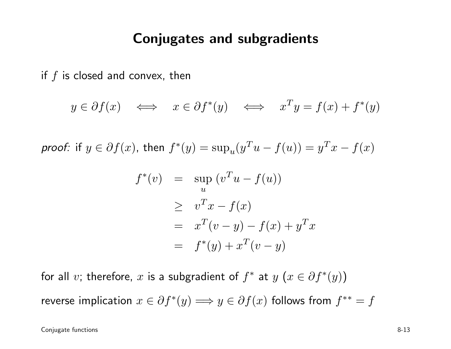#### Conjugates and subgradients

if  $f$  is closed and convex, then

$$
y \in \partial f(x) \iff x \in \partial f^*(y) \iff x^T y = f(x) + f^*(y)
$$

*proof:* if  $y \in \partial f(x)$ , then  $f^*$  $*(y) = \sup_u(y)$  $\, T \,$  $-$  u  $$  $f(u)) = y$  $\, T \,$  $x$  $f(x)$ 

$$
f^*(v) = \sup_u (v^T u - f(u))
$$
  
\n
$$
\geq v^T x - f(x)
$$
  
\n
$$
= x^T (v - y) - f(x) + y^T x
$$
  
\n
$$
= f^*(y) + x^T (v - y)
$$

for all  $v$ ; therefore,  $x$  is a subgradient of  $f^*$  at  $y$   $(x \in \partial f^*$  $^*(y))$ 

reverse implication  $x\in\partial f^*$  $f^*(y) \Longrightarrow y \in \partial f(x)$  follows from  $f^{**} = f$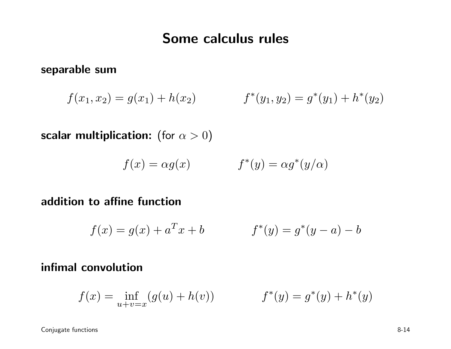### Some calculus rules

separable sum

$$
f(x_1, x_2) = g(x_1) + h(x_2) \qquad f^*(y_1, y_2) = g^*(y_1) + h^*(y_2)
$$

scalar multiplication: (for  $\alpha>0)$ 

$$
f(x) = \alpha g(x) \qquad \qquad f^*(y) = \alpha g^*(y/\alpha)
$$

#### addition to affine function

$$
f(x) = g(x) + a^T x + b \qquad f^*(y) = g^*(y - a) - b
$$

#### infimal convolution

$$
f(x) = \inf_{u+v=x} (g(u) + h(v)) \qquad f^*(y) = g^*(y) + h^*(y)
$$